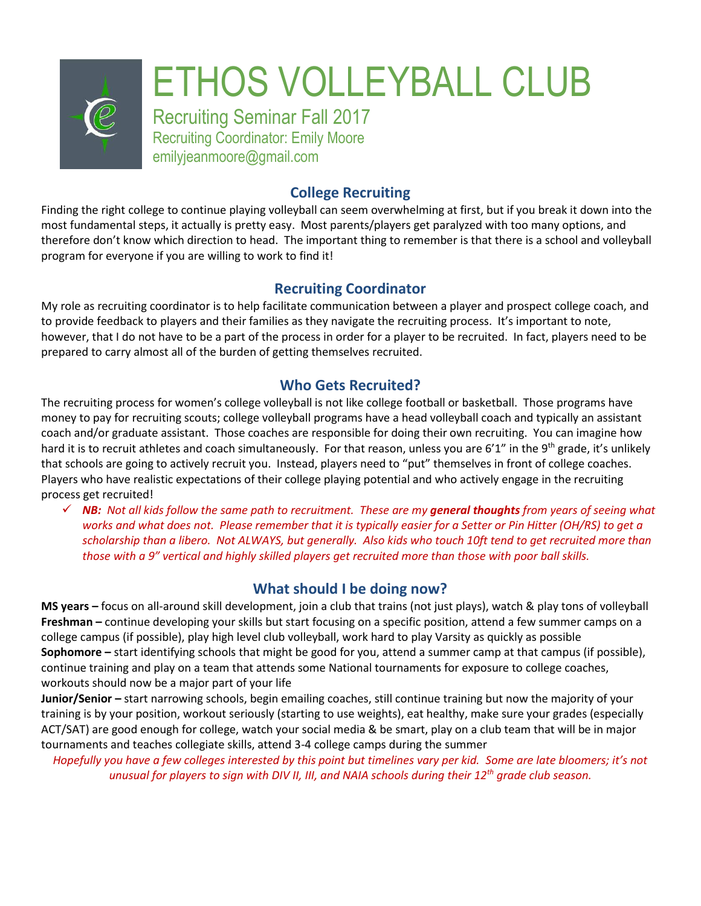

# **College Recruiting**

Finding the right college to continue playing volleyball can seem overwhelming at first, but if you break it down into the most fundamental steps, it actually is pretty easy. Most parents/players get paralyzed with too many options, and therefore don't know which direction to head. The important thing to remember is that there is a school and volleyball program for everyone if you are willing to work to find it!

# **Recruiting Coordinator**

My role as recruiting coordinator is to help facilitate communication between a player and prospect college coach, and to provide feedback to players and their families as they navigate the recruiting process. It's important to note, however, that I do not have to be a part of the process in order for a player to be recruited. In fact, players need to be prepared to carry almost all of the burden of getting themselves recruited.

# **Who Gets Recruited?**

The recruiting process for women's college volleyball is not like college football or basketball. Those programs have money to pay for recruiting scouts; college volleyball programs have a head volleyball coach and typically an assistant coach and/or graduate assistant. Those coaches are responsible for doing their own recruiting. You can imagine how hard it is to recruit athletes and coach simultaneously. For that reason, unless you are 6'1" in the 9<sup>th</sup> grade, it's unlikely that schools are going to actively recruit you. Instead, players need to "put" themselves in front of college coaches. Players who have realistic expectations of their college playing potential and who actively engage in the recruiting process get recruited!

✓ *NB: Not all kids follow the same path to recruitment. These are my general thoughts from years of seeing what works and what does not. Please remember that it is typically easier for a Setter or Pin Hitter (OH/RS) to get a scholarship than a libero. Not ALWAYS, but generally. Also kids who touch 10ft tend to get recruited more than those with a 9" vertical and highly skilled players get recruited more than those with poor ball skills.* 

# **What should I be doing now?**

**MS years –** focus on all-around skill development, join a club that trains (not just plays), watch & play tons of volleyball **Freshman –** continue developing your skills but start focusing on a specific position, attend a few summer camps on a college campus (if possible), play high level club volleyball, work hard to play Varsity as quickly as possible **Sophomore –** start identifying schools that might be good for you, attend a summer camp at that campus (if possible), continue training and play on a team that attends some National tournaments for exposure to college coaches, workouts should now be a major part of your life

**Junior/Senior –** start narrowing schools, begin emailing coaches, still continue training but now the majority of your training is by your position, workout seriously (starting to use weights), eat healthy, make sure your grades (especially ACT/SAT) are good enough for college, watch your social media & be smart, play on a club team that will be in major tournaments and teaches collegiate skills, attend 3-4 college camps during the summer

*Hopefully you have a few colleges interested by this point but timelines vary per kid. Some are late bloomers; it's not unusual for players to sign with DIV II, III, and NAIA schools during their 12th grade club season.*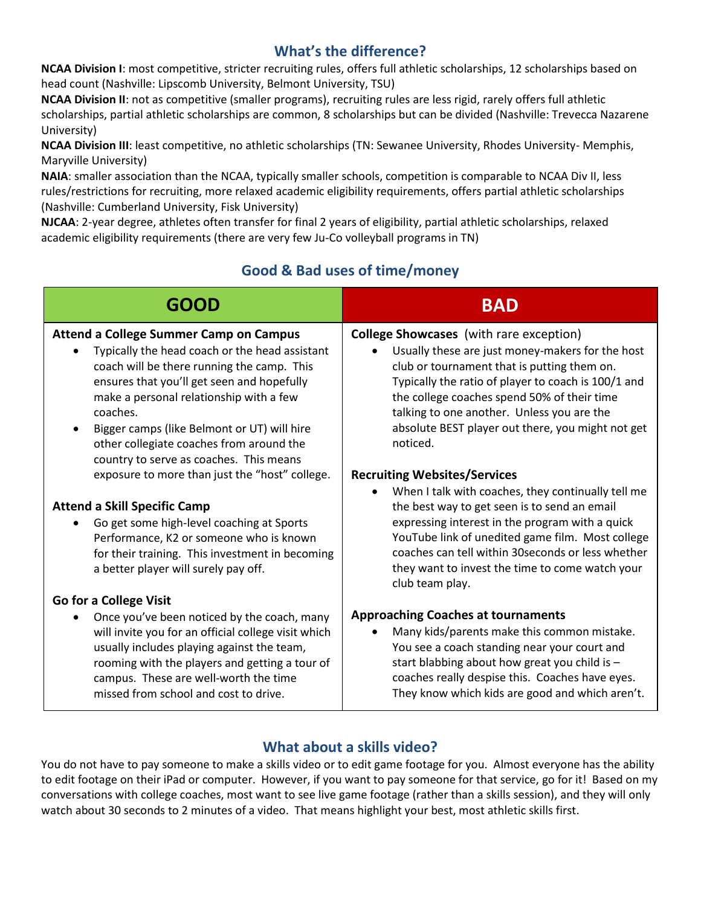# **What's the difference?**

**NCAA Division I**: most competitive, stricter recruiting rules, offers full athletic scholarships, 12 scholarships based on head count (Nashville: Lipscomb University, Belmont University, TSU)

**NCAA Division II**: not as competitive (smaller programs), recruiting rules are less rigid, rarely offers full athletic scholarships, partial athletic scholarships are common, 8 scholarships but can be divided (Nashville: Trevecca Nazarene University)

**NCAA Division III**: least competitive, no athletic scholarships (TN: Sewanee University, Rhodes University- Memphis, Maryville University)

**NAIA**: smaller association than the NCAA, typically smaller schools, competition is comparable to NCAA Div II, less rules/restrictions for recruiting, more relaxed academic eligibility requirements, offers partial athletic scholarships (Nashville: Cumberland University, Fisk University)

**NJCAA**: 2-year degree, athletes often transfer for final 2 years of eligibility, partial athletic scholarships, relaxed academic eligibility requirements (there are very few Ju-Co volleyball programs in TN)

# **Good & Bad uses of time/money**

| <b>GOOD</b>                                                                                                                                                                                                                                                                                                                                                                              | <b>BAD</b>                                                                                                                                                                                                                                                                                                                                                                          |
|------------------------------------------------------------------------------------------------------------------------------------------------------------------------------------------------------------------------------------------------------------------------------------------------------------------------------------------------------------------------------------------|-------------------------------------------------------------------------------------------------------------------------------------------------------------------------------------------------------------------------------------------------------------------------------------------------------------------------------------------------------------------------------------|
| <b>Attend a College Summer Camp on Campus</b><br>Typically the head coach or the head assistant<br>coach will be there running the camp. This<br>ensures that you'll get seen and hopefully<br>make a personal relationship with a few<br>coaches.<br>Bigger camps (like Belmont or UT) will hire<br>other collegiate coaches from around the<br>country to serve as coaches. This means | <b>College Showcases</b> (with rare exception)<br>Usually these are just money-makers for the host<br>$\bullet$<br>club or tournament that is putting them on.<br>Typically the ratio of player to coach is 100/1 and<br>the college coaches spend 50% of their time<br>talking to one another. Unless you are the<br>absolute BEST player out there, you might not get<br>noticed. |
| exposure to more than just the "host" college.                                                                                                                                                                                                                                                                                                                                           | <b>Recruiting Websites/Services</b>                                                                                                                                                                                                                                                                                                                                                 |
| <b>Attend a Skill Specific Camp</b><br>Go get some high-level coaching at Sports<br>Performance, K2 or someone who is known<br>for their training. This investment in becoming<br>a better player will surely pay off.                                                                                                                                                                   | When I talk with coaches, they continually tell me<br>$\bullet$<br>the best way to get seen is to send an email<br>expressing interest in the program with a quick<br>YouTube link of unedited game film. Most college<br>coaches can tell within 30 seconds or less whether<br>they want to invest the time to come watch your<br>club team play.                                  |
| Go for a College Visit                                                                                                                                                                                                                                                                                                                                                                   |                                                                                                                                                                                                                                                                                                                                                                                     |
| Once you've been noticed by the coach, many<br>will invite you for an official college visit which<br>usually includes playing against the team,<br>rooming with the players and getting a tour of<br>campus. These are well-worth the time<br>missed from school and cost to drive.                                                                                                     | <b>Approaching Coaches at tournaments</b><br>Many kids/parents make this common mistake.<br>$\bullet$<br>You see a coach standing near your court and<br>start blabbing about how great you child is -<br>coaches really despise this. Coaches have eyes.<br>They know which kids are good and which aren't.                                                                        |

# **What about a skills video?**

You do not have to pay someone to make a skills video or to edit game footage for you. Almost everyone has the ability to edit footage on their iPad or computer. However, if you want to pay someone for that service, go for it! Based on my conversations with college coaches, most want to see live game footage (rather than a skills session), and they will only watch about 30 seconds to 2 minutes of a video. That means highlight your best, most athletic skills first.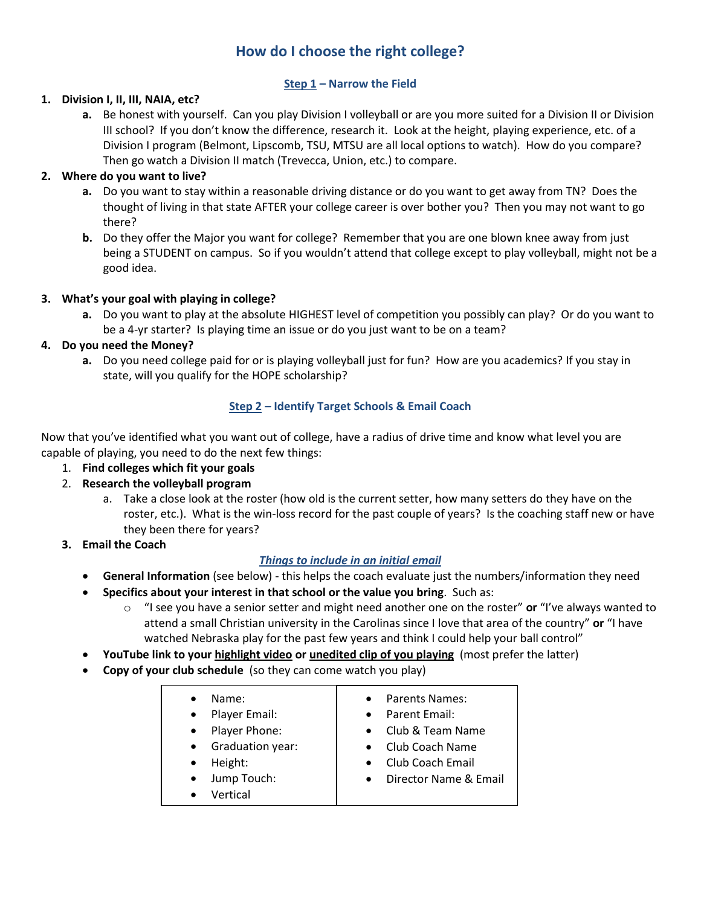# **How do I choose the right college?**

#### **Step 1 – Narrow the Field**

#### **1. Division I, II, III, NAIA, etc?**

**a.** Be honest with yourself. Can you play Division I volleyball or are you more suited for a Division II or Division III school? If you don't know the difference, research it. Look at the height, playing experience, etc. of a Division I program (Belmont, Lipscomb, TSU, MTSU are all local options to watch). How do you compare? Then go watch a Division II match (Trevecca, Union, etc.) to compare.

### **2. Where do you want to live?**

- **a.** Do you want to stay within a reasonable driving distance or do you want to get away from TN? Does the thought of living in that state AFTER your college career is over bother you? Then you may not want to go there?
- **b.** Do they offer the Major you want for college? Remember that you are one blown knee away from just being a STUDENT on campus. So if you wouldn't attend that college except to play volleyball, might not be a good idea.

### **3. What's your goal with playing in college?**

**a.** Do you want to play at the absolute HIGHEST level of competition you possibly can play? Or do you want to be a 4-yr starter? Is playing time an issue or do you just want to be on a team?

### **4. Do you need the Money?**

**a.** Do you need college paid for or is playing volleyball just for fun? How are you academics? If you stay in state, will you qualify for the HOPE scholarship?

### **Step 2 – Identify Target Schools & Email Coach**

Now that you've identified what you want out of college, have a radius of drive time and know what level you are capable of playing, you need to do the next few things:

- 1. **Find colleges which fit your goals**
- 2. **Research the volleyball program**
	- a. Take a close look at the roster (how old is the current setter, how many setters do they have on the roster, etc.). What is the win-loss record for the past couple of years? Is the coaching staff new or have they been there for years?
- **3. Email the Coach**

## *Things to include in an initial email*

- **General Information** (see below) this helps the coach evaluate just the numbers/information they need
- **Specifics about your interest in that school or the value you bring**. Such as:
	- o "I see you have a senior setter and might need another one on the roster" **or** "I've always wanted to attend a small Christian university in the Carolinas since I love that area of the country" **or** "I have watched Nebraska play for the past few years and think I could help your ball control"
- **YouTube link to your highlight video or unedited clip of you playing** (most prefer the latter)
- **Copy of your club schedule** (so they can come watch you play)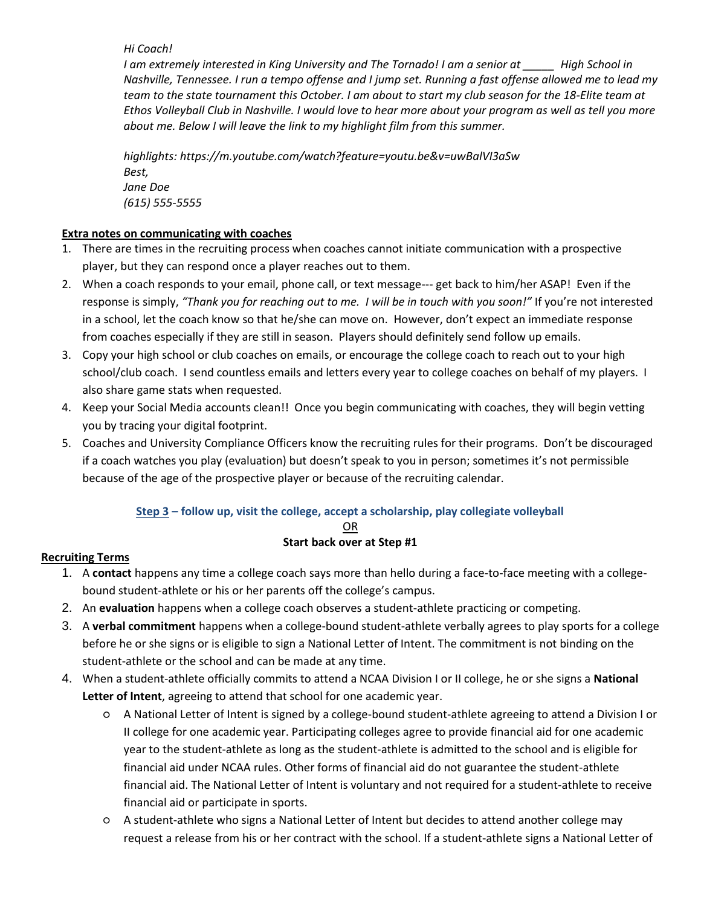*Hi Coach!* 

*I am extremely interested in King University and The Tornado! I am a senior at \_\_\_\_\_ High School in Nashville, Tennessee. I run a tempo offense and I jump set. Running a fast offense allowed me to lead my team to the state tournament this October. I am about to start my club season for the 18-Elite team at Ethos Volleyball Club in Nashville. I would love to hear more about your program as well as tell you more about me. Below I will leave the link to my highlight film from this summer.* 

*highlights: https://m.youtube.com/watch?feature=youtu.be&v=uwBalVI3aSw Best, Jane Doe (615) 555-5555*

#### **Extra notes on communicating with coaches**

- 1. There are times in the recruiting process when coaches cannot initiate communication with a prospective player, but they can respond once a player reaches out to them.
- 2. When a coach responds to your email, phone call, or text message--- get back to him/her ASAP! Even if the response is simply, *"Thank you for reaching out to me. I will be in touch with you soon!"* If you're not interested in a school, let the coach know so that he/she can move on. However, don't expect an immediate response from coaches especially if they are still in season. Players should definitely send follow up emails.
- 3. Copy your high school or club coaches on emails, or encourage the college coach to reach out to your high school/club coach. I send countless emails and letters every year to college coaches on behalf of my players. I also share game stats when requested.
- 4. Keep your Social Media accounts clean!! Once you begin communicating with coaches, they will begin vetting you by tracing your digital footprint.
- 5. Coaches and University Compliance Officers know the recruiting rules for their programs. Don't be discouraged if a coach watches you play (evaluation) but doesn't speak to you in person; sometimes it's not permissible because of the age of the prospective player or because of the recruiting calendar.

#### **Step 3 – follow up, visit the college, accept a scholarship, play collegiate volleyball** OR **Start back over at Step #1**

## **Recruiting Terms**

- 1. A **contact** happens any time a college coach says more than hello during a face-to-face meeting with a collegebound student-athlete or his or her parents off the college's campus.
- 2. An **evaluation** happens when a college coach observes a student-athlete practicing or competing.
- 3. A **verbal commitment** happens when a college-bound student-athlete verbally agrees to play sports for a college before he or she signs or is eligible to sign a National Letter of Intent. The commitment is not binding on the student-athlete or the school and can be made at any time.
- 4. When a student-athlete officially commits to attend a NCAA Division I or II college, he or she signs a **National Letter of Intent**, agreeing to attend that school for one academic year.
	- A National Letter of Intent is signed by a college-bound student-athlete agreeing to attend a Division I or II college for one academic year. Participating colleges agree to provide financial aid for one academic year to the student-athlete as long as the student-athlete is admitted to the school and is eligible for financial aid under NCAA rules. Other forms of financial aid do not guarantee the student-athlete financial aid. The National Letter of Intent is voluntary and not required for a student-athlete to receive financial aid or participate in sports.
	- A student-athlete who signs a National Letter of Intent but decides to attend another college may request a release from his or her contract with the school. If a student-athlete signs a National Letter of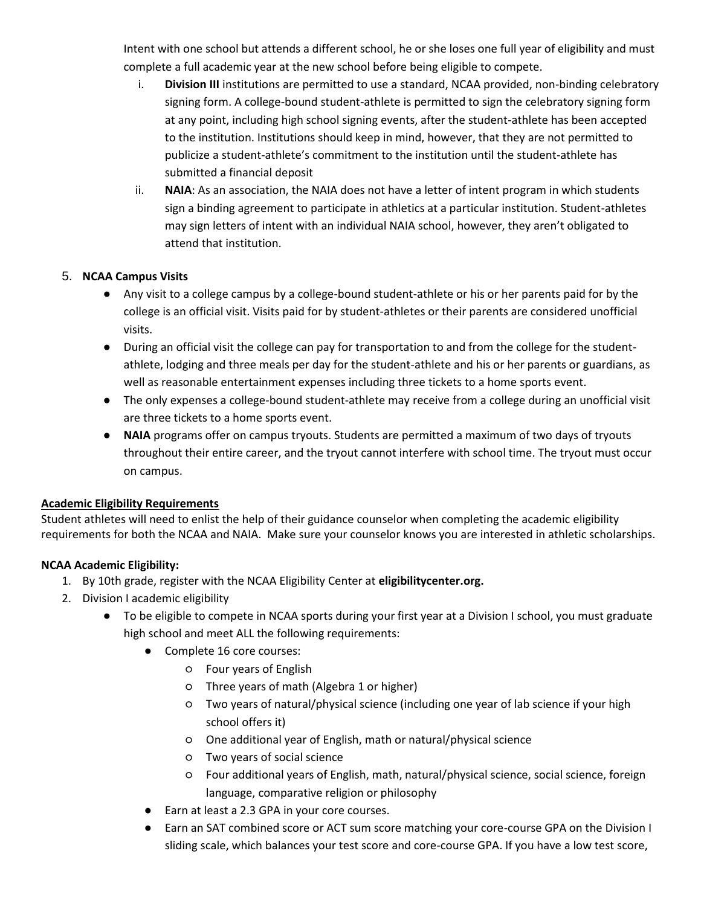Intent with one school but attends a different school, he or she loses one full year of eligibility and must complete a full academic year at the new school before being eligible to compete.

- i. **Division III** institutions are permitted to use a standard, NCAA provided, non-binding celebratory signing form. A college-bound student-athlete is permitted to sign the celebratory signing form at any point, including high school signing events, after the student-athlete has been accepted to the institution. Institutions should keep in mind, however, that they are not permitted to publicize a student-athlete's commitment to the institution until the student-athlete has submitted a financial deposit
- ii. **NAIA**: As an association, the NAIA does not have a letter of intent program in which students sign a binding agreement to participate in athletics at a particular institution. Student-athletes may sign letters of intent with an individual NAIA school, however, they aren't obligated to attend that institution.

### 5. **NCAA Campus Visits**

- Any visit to a college campus by a college-bound student-athlete or his or her parents paid for by the college is an official visit. Visits paid for by student-athletes or their parents are considered unofficial visits.
- During an official visit the college can pay for transportation to and from the college for the studentathlete, lodging and three meals per day for the student-athlete and his or her parents or guardians, as well as reasonable entertainment expenses including three tickets to a home sports event.
- The only expenses a college-bound student-athlete may receive from a college during an unofficial visit are three tickets to a home sports event.
- **NAIA** programs offer on campus tryouts. Students are permitted a maximum of two days of tryouts throughout their entire career, and the tryout cannot interfere with school time. The tryout must occur on campus.

#### **Academic Eligibility Requirements**

Student athletes will need to enlist the help of their guidance counselor when completing the academic eligibility requirements for both the NCAA and NAIA. Make sure your counselor knows you are interested in athletic scholarships.

#### **NCAA Academic Eligibility:**

- 1. By 10th grade, register with the NCAA Eligibility Center at **eligibilitycenter.org.**
- 2. Division I academic eligibility
	- To be eligible to compete in NCAA sports during your first year at a Division I school, you must graduate high school and meet ALL the following requirements:
		- Complete 16 core courses:
			- Four years of English
			- Three years of math (Algebra 1 or higher)
			- Two years of natural/physical science (including one year of lab science if your high school offers it)
			- One additional year of English, math or natural/physical science
			- Two years of social science
			- Four additional years of English, math, natural/physical science, social science, foreign language, comparative religion or philosophy
		- Earn at least a 2.3 GPA in your core courses.
		- Earn an SAT combined score or ACT sum score matching your core-course GPA on the Division I sliding scale, which balances your test score and core-course GPA. If you have a low test score,